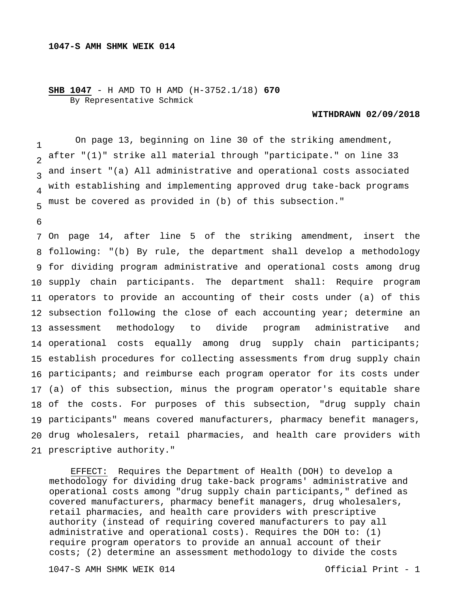## **SHB 1047** - H AMD TO H AMD (H-3752.1/18) **670** By Representative Schmick

## **WITHDRAWN 02/09/2018**

1  $\overline{2}$  $\overline{3}$ 4 5 On page 13, beginning on line 30 of the striking amendment, after "(1)" strike all material through "participate." on line 33 and insert "(a) All administrative and operational costs associated with establishing and implementing approved drug take-back programs must be covered as provided in (b) of this subsection."

6

 On page 14, after line 5 of the striking amendment, insert the following: "(b) By rule, the department shall develop a methodology for dividing program administrative and operational costs among drug supply chain participants. The department shall: Require program operators to provide an accounting of their costs under (a) of this subsection following the close of each accounting year; determine an 13 assessment operational costs equally among drug supply chain participants; establish procedures for collecting assessments from drug supply chain participants; and reimburse each program operator for its costs under (a) of this subsection, minus the program operator's equitable share of the costs. For purposes of this subsection, "drug supply chain participants" means covered manufacturers, pharmacy benefit managers, drug wholesalers, retail pharmacies, and health care providers with prescriptive authority." methodology to divide program administrative and

 EFFECT: Requires the Department of Health (DOH) to develop a methodology for dividing drug take-back programs' administrative and operational costs among "drug supply chain participants," defined as covered manufacturers, pharmacy benefit managers, drug wholesalers, retail pharmacies, and health care providers with prescriptive authority (instead of requiring covered manufacturers to pay all administrative and operational costs). Requires the DOH to: (1) require program operators to provide an annual account of their costs; (2) determine an assessment methodology to divide the costs

1047-S AMH SHMK WEIK 014 Official Print - 1